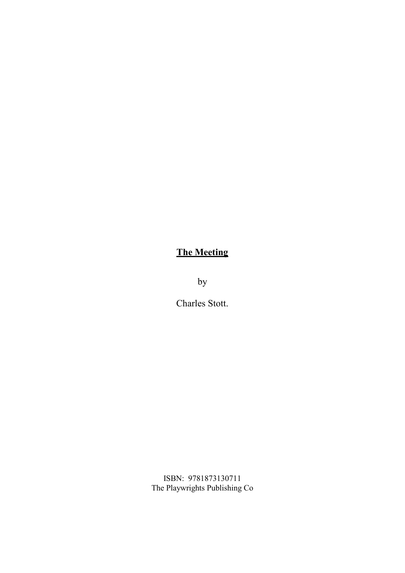# **The Meeting**

by

Charles Stott.

ISBN: 9781873130711 The Playwrights Publishing Co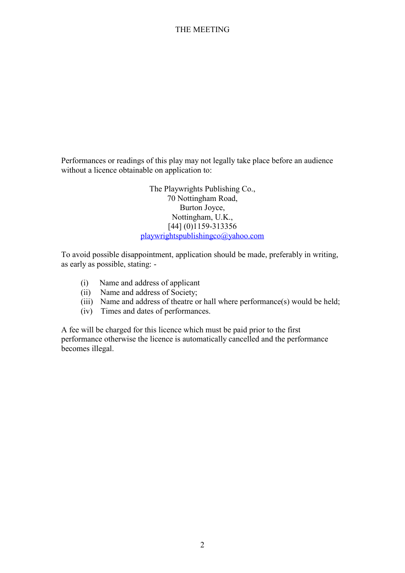Performances or readings of this play may not legally take place before an audience without a licence obtainable on application to:

> The Playwrights Publishing Co., 70 Nottingham Road, Burton Joyce, Nottingham, U.K., [44] (0)1159-313356 playwrightspublishingco@yahoo.com

To avoid possible disappointment, application should be made, preferably in writing, as early as possible, stating: -

- (i) Name and address of applicant
- (ii) Name and address of Society;
- (iii) Name and address of theatre or hall where performance(s) would be held;
- (iv) Times and dates of performances.

A fee will be charged for this licence which must be paid prior to the first performance otherwise the licence is automatically cancelled and the performance becomes illegal.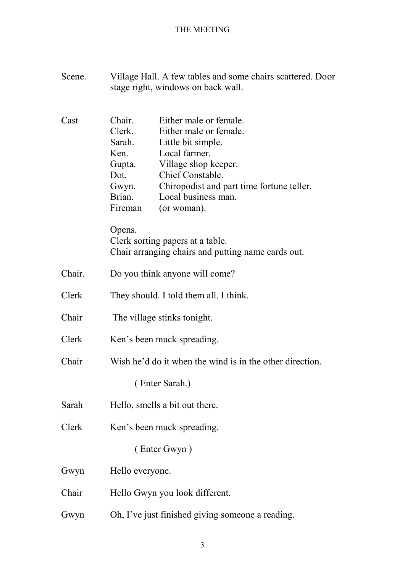| Scene. | Village Hall. A few tables and some chairs scattered. Door<br>stage right, windows on back wall.                                                                                                                                                                                                             |
|--------|--------------------------------------------------------------------------------------------------------------------------------------------------------------------------------------------------------------------------------------------------------------------------------------------------------------|
| Cast   | Either male or female.<br>Chair.<br>Clerk.<br>Either male or female.<br>Sarah.<br>Little bit simple.<br>Local farmer.<br>Ken.<br>Village shop keeper.<br>Gupta.<br>Chief Constable.<br>Dot.<br>Gwyn.<br>Chiropodist and part time fortune teller.<br>Local business man.<br>Brian.<br>Fireman<br>(or woman). |
|        | Opens.<br>Clerk sorting papers at a table.<br>Chair arranging chairs and putting name cards out.                                                                                                                                                                                                             |
| Chair. | Do you think anyone will come?                                                                                                                                                                                                                                                                               |
| Clerk  | They should. I told them all. I think.                                                                                                                                                                                                                                                                       |
| Chair  | The village stinks tonight.                                                                                                                                                                                                                                                                                  |
| Clerk  | Ken's been muck spreading.                                                                                                                                                                                                                                                                                   |
| Chair  | Wish he'd do it when the wind is in the other direction.                                                                                                                                                                                                                                                     |
|        | (Enter Sarah.)                                                                                                                                                                                                                                                                                               |
| Sarah  | Hello, smells a bit out there.                                                                                                                                                                                                                                                                               |
| Clerk  | Ken's been muck spreading.                                                                                                                                                                                                                                                                                   |
|        | (Enter Gwyn)                                                                                                                                                                                                                                                                                                 |
| Gwyn   | Hello everyone.                                                                                                                                                                                                                                                                                              |
| Chair  | Hello Gwyn you look different.                                                                                                                                                                                                                                                                               |
| Gwyn   | Oh, I've just finished giving someone a reading.                                                                                                                                                                                                                                                             |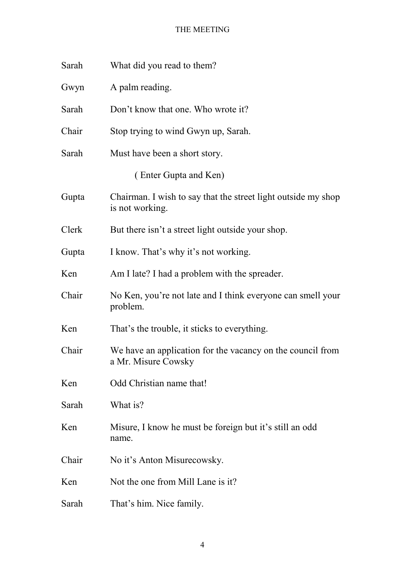| Sarah | What did you read to them?                                                        |
|-------|-----------------------------------------------------------------------------------|
| Gwyn  | A palm reading.                                                                   |
| Sarah | Don't know that one. Who wrote it?                                                |
| Chair | Stop trying to wind Gwyn up, Sarah.                                               |
| Sarah | Must have been a short story.                                                     |
|       | (Enter Gupta and Ken)                                                             |
| Gupta | Chairman. I wish to say that the street light outside my shop<br>is not working.  |
| Clerk | But there isn't a street light outside your shop.                                 |
| Gupta | I know. That's why it's not working.                                              |
| Ken   | Am I late? I had a problem with the spreader.                                     |
| Chair | No Ken, you're not late and I think everyone can smell your<br>problem.           |
| Ken   | That's the trouble, it sticks to everything.                                      |
| Chair | We have an application for the vacancy on the council from<br>a Mr. Misure Cowsky |
| Ken   | Odd Christian name that!                                                          |
| Sarah | What is?                                                                          |
| Ken   | Misure, I know he must be foreign but it's still an odd<br>name.                  |
| Chair | No it's Anton Misurecowsky.                                                       |
| Ken   | Not the one from Mill Lane is it?                                                 |
| Sarah | That's him. Nice family.                                                          |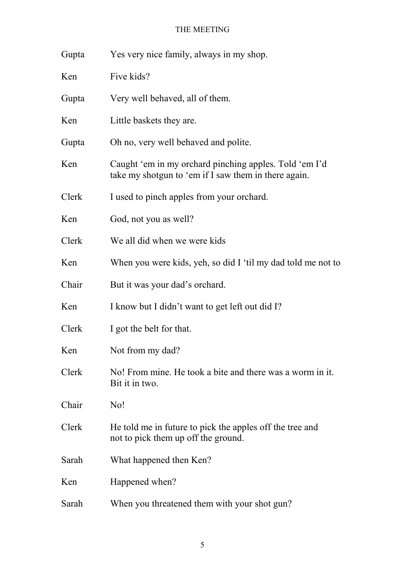| Gupta | Yes very nice family, always in my shop.                                                                       |
|-------|----------------------------------------------------------------------------------------------------------------|
| Ken   | Five kids?                                                                                                     |
| Gupta | Very well behaved, all of them.                                                                                |
| Ken   | Little baskets they are.                                                                                       |
| Gupta | Oh no, very well behaved and polite.                                                                           |
| Ken   | Caught 'em in my orchard pinching apples. Told 'em I'd<br>take my shotgun to 'em if I saw them in there again. |
| Clerk | I used to pinch apples from your orchard.                                                                      |
| Ken   | God, not you as well?                                                                                          |
| Clerk | We all did when we were kids                                                                                   |
| Ken   | When you were kids, yeh, so did I 'til my dad told me not to                                                   |
| Chair | But it was your dad's orchard.                                                                                 |
| Ken   | I know but I didn't want to get left out did I?                                                                |
| Clerk | I got the belt for that.                                                                                       |
| Ken   | Not from my dad?                                                                                               |
| Clerk | No! From mine. He took a bite and there was a worm in it.<br>Bit it in two.                                    |
| Chair | No!                                                                                                            |
| Clerk | He told me in future to pick the apples off the tree and<br>not to pick them up off the ground.                |
| Sarah | What happened then Ken?                                                                                        |
| Ken   | Happened when?                                                                                                 |
| Sarah | When you threatened them with your shot gun?                                                                   |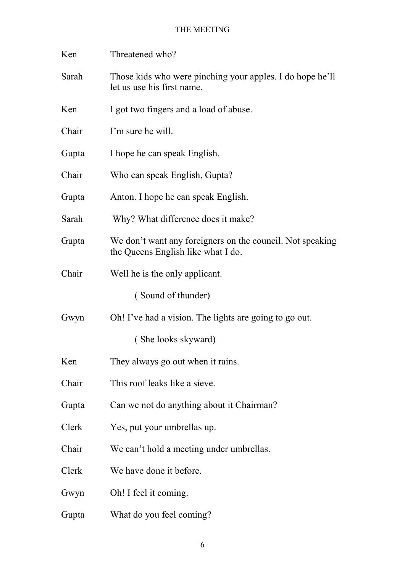| Ken   | Threatened who?                                                                                 |
|-------|-------------------------------------------------------------------------------------------------|
| Sarah | Those kids who were pinching your apples. I do hope he'll<br>let us use his first name.         |
| Ken   | I got two fingers and a load of abuse.                                                          |
| Chair | I'm sure he will.                                                                               |
| Gupta | I hope he can speak English.                                                                    |
| Chair | Who can speak English, Gupta?                                                                   |
| Gupta | Anton. I hope he can speak English.                                                             |
| Sarah | Why? What difference does it make?                                                              |
| Gupta | We don't want any foreigners on the council. Not speaking<br>the Queens English like what I do. |
| Chair | Well he is the only applicant.                                                                  |
|       | (Sound of thunder)                                                                              |
| Gwyn  | Oh! I've had a vision. The lights are going to go out.                                          |
|       | (She looks skyward)                                                                             |
| Ken   | They always go out when it rains.                                                               |
| Chair | This roof leaks like a sieve.                                                                   |
| Gupta | Can we not do anything about it Chairman?                                                       |
| Clerk | Yes, put your umbrellas up.                                                                     |
| Chair | We can't hold a meeting under umbrellas.                                                        |
| Clerk | We have done it before.                                                                         |
| Gwyn  | Oh! I feel it coming.                                                                           |
| Gupta | What do you feel coming?                                                                        |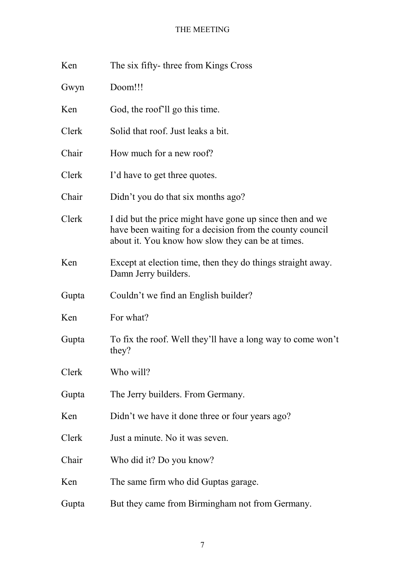| Ken   | The six fifty-three from Kings Cross                                                                                                                                      |
|-------|---------------------------------------------------------------------------------------------------------------------------------------------------------------------------|
| Gwyn  | Doom!!!                                                                                                                                                                   |
| Ken   | God, the roof ll go this time.                                                                                                                                            |
| Clerk | Solid that roof. Just leaks a bit.                                                                                                                                        |
| Chair | How much for a new roof?                                                                                                                                                  |
| Clerk | I'd have to get three quotes.                                                                                                                                             |
| Chair | Didn't you do that six months ago?                                                                                                                                        |
| Clerk | I did but the price might have gone up since then and we<br>have been waiting for a decision from the county council<br>about it. You know how slow they can be at times. |
| Ken   | Except at election time, then they do things straight away.<br>Damn Jerry builders.                                                                                       |
| Gupta | Couldn't we find an English builder?                                                                                                                                      |
| Ken   | For what?                                                                                                                                                                 |
| Gupta | To fix the roof. Well they'll have a long way to come won't<br>they?                                                                                                      |
| Clerk | Who will?                                                                                                                                                                 |
| Gupta | The Jerry builders. From Germany.                                                                                                                                         |
| Ken   | Didn't we have it done three or four years ago?                                                                                                                           |
| Clerk | Just a minute. No it was seven.                                                                                                                                           |
| Chair | Who did it? Do you know?                                                                                                                                                  |
| Ken   | The same firm who did Guptas garage.                                                                                                                                      |
| Gupta | But they came from Birmingham not from Germany.                                                                                                                           |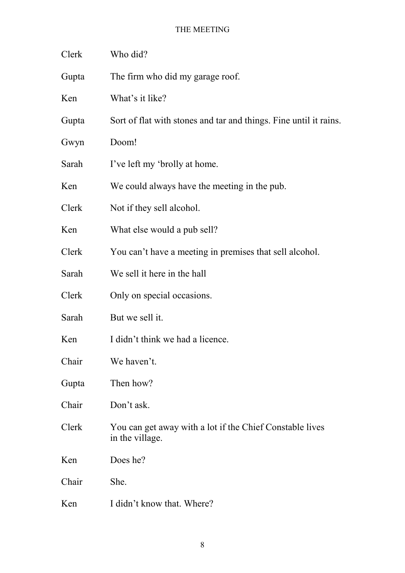| Clerk | Who did?                                                                    |
|-------|-----------------------------------------------------------------------------|
| Gupta | The firm who did my garage roof.                                            |
| Ken   | What's it like?                                                             |
| Gupta | Sort of flat with stones and tar and things. Fine until it rains.           |
| Gwyn  | Doom!                                                                       |
| Sarah | I've left my 'brolly at home.                                               |
| Ken   | We could always have the meeting in the pub.                                |
| Clerk | Not if they sell alcohol.                                                   |
| Ken   | What else would a pub sell?                                                 |
| Clerk | You can't have a meeting in premises that sell alcohol.                     |
| Sarah | We sell it here in the hall                                                 |
| Clerk | Only on special occasions.                                                  |
| Sarah | But we sell it.                                                             |
| Ken   | I didn't think we had a licence.                                            |
| Chair | We haven't.                                                                 |
| Gupta | Then how?                                                                   |
| Chair | Don't ask.                                                                  |
| Clerk | You can get away with a lot if the Chief Constable lives<br>in the village. |
| Ken   | Does he?                                                                    |
| Chair | She.                                                                        |
| Ken   | I didn't know that. Where?                                                  |